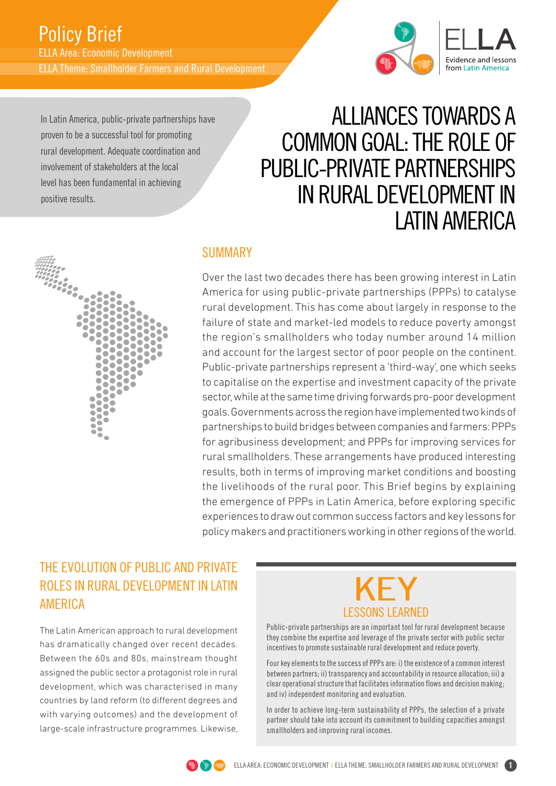

In Latin America, public-private partnerships have proven to be a successful tool for promoting rural development. Adequate coordination and involvement of stakeholders at the local level has been fundamental in achieving positive results.

# ALLIANCES TOWARDS A COMMON GOAL: THE ROLE OF PUBLIC-PRIVATE PARTNERSHIPS IN RURAL DEVELOPMENT IN LATIN AMERICA

# C Ċ ŏ  $\bullet$ Ŏ Č Õ  $\bullet$ ĕ ĕ

### SUMMARY

Over the last two decades there has been growing interest in Latin America for using public-private partnerships (PPPs) to catalyse rural development. This has come about largely in response to the failure of state and market-led models to reduce poverty amongst the region's smallholders who today number around 14 million and account for the largest sector of poor people on the continent. Public-private partnerships represent a 'third-way', one which seeks to capitalise on the expertise and investment capacity of the private sector, while at the same time driving forwards pro-poor development goals. Governments across the region have implemented two kinds of partnerships to build bridges between companies and farmers: PPPs for agribusiness development; and PPPs for improving services for rural smallholders. These arrangements have produced interesting results, both in terms of improving market conditions and boosting the livelihoods of the rural poor. This Brief begins by explaining the emergence of PPPs in Latin America, before exploring specific experiences to draw out common success factors and key lessons for policy makers and practitioners working in other regions of the world.

# THE EVOLUTION OF PUBLIC AND PRIVATE ROLES IN RURAL DEVELOPMENT IN LATIN AMERICA

The Latin American approach to rural development has dramatically changed over recent decades. Between the 60s and 80s, mainstream thought assigned the public sector a protagonist role in rural development, which was characterised in many countries by land reform (to different degrees and with varying outcomes) and the development of large-scale infrastructure programmes. Likewise,



Public-private partnerships are an important tool for rural development because they combine the expertise and leverage of the private sector with public sector incentives to promote sustainable rural development and reduce poverty.

Four key elements to the success of PPPs are: i) the existence of a common interest between partners; ii) transparency and accountability in resource allocation; iii) a clear operational structure that facilitates information flows and decision making; and iv) independent monitoring and evaluation.

In order to achieve long-term sustainability of PPPs, the selection of a private partner should take into account its commitment to building capacities amongst smallholders and improving rural incomes.

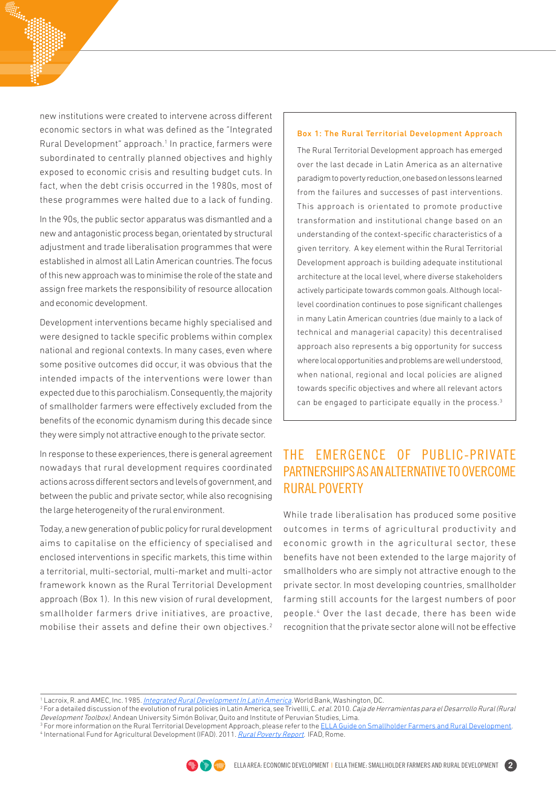new institutions were created to intervene across different economic sectors in what was defined as the "Integrated Rural Development" approach.<sup>1</sup> In practice, farmers were subordinated to centrally planned objectives and highly exposed to economic crisis and resulting budget cuts. In fact, when the debt crisis occurred in the 1980s, most of these programmes were halted due to a lack of funding.

In the 90s, the public sector apparatus was dismantled and a new and antagonistic process began, orientated by structural adjustment and trade liberalisation programmes that were established in almost all Latin American countries. The focus of this new approach was to minimise the role of the state and assign free markets the responsibility of resource allocation and economic development.

Development interventions became highly specialised and were designed to tackle specific problems within complex national and regional contexts. In many cases, even where some positive outcomes did occur, it was obvious that the intended impacts of the interventions were lower than expected due to this parochialism. Consequently, the majority of smallholder farmers were effectively excluded from the benefits of the economic dynamism during this decade since they were simply not attractive enough to the private sector.

In response to these experiences, there is general agreement nowadays that rural development requires coordinated actions across different sectors and levels of government, and between the public and private sector, while also recognising the large heterogeneity of the rural environment.

Today, a new generation of public policy for rural development aims to capitalise on the efficiency of specialised and enclosed interventions in specific markets, this time within a territorial, multi-sectorial, multi-market and multi-actor framework known as the Rural Territorial Development approach (Box 1). In this new vision of rural development, smallholder farmers drive initiatives, are proactive, mobilise their assets and define their own objectives.2

#### Box 1: The Rural Territorial Development Approach

The Rural Territorial Development approach has emerged over the last decade in Latin America as an alternative paradigm to poverty reduction, one based on lessons learned from the failures and successes of past interventions. This approach is orientated to promote productive transformation and institutional change based on an understanding of the context-specific characteristics of a given territory. A key element within the Rural Territorial Development approach is building adequate institutional architecture at the local level, where diverse stakeholders actively participate towards common goals. Although locallevel coordination continues to pose significant challenges in many Latin American countries (due mainly to a lack of technical and managerial capacity) this decentralised approach also represents a big opportunity for success where local opportunities and problems are well understood, when national, regional and local policies are aligned towards specific objectives and where all relevant actors can be engaged to participate equally in the process.3

### THE EMERGENCE OF PUBLIC-PRIVATE PARTNERSHIPS AS AN ALTERNATIVE TO OVERCOME RURAL POVERTY

While trade liberalisation has produced some positive outcomes in terms of agricultural productivity and economic growth in the agricultural sector, these benefits have not been extended to the large majority of smallholders who are simply not attractive enough to the private sector. In most developing countries, smallholder farming still accounts for the largest numbers of poor people.4 Over the last decade, there has been wide recognition that the private sector alone will not be effective

 $^3$  For more information on the Rural Territorial Development Approach, please refer to the <u>ELLA Guide on Smallholder Farmers and Rural Development</u>. <sup>4</sup> International Fund for Agricultural Development (IFAD). 2011. <u>*[Rural Poverty Report](http://www.ifad.org/RPR2011/)*</u>. IFAD, Rome.



<sup>&</sup>lt;sup>1</sup> Lacroix, R. and AMEC, Inc. 1985. <u>[Integrated Rural Development In Latin America](http://documents.worldbank.org/curated/en/1985/01/443591/integrated-rural-development-latin-america)</u>. World Bank, Washington, DC.

<sup>&</sup>lt;sup>2</sup> For a detailed discussion of the evolution of rural policies in Latin America, see Trivellli, C. *et al*. 2010. *Caja de Herramientas para el Desarrollo Rural (Rural* Development Toolbox). Andean University Simón Bolivar, Quito and Institute of Peruvian Studies, Lima.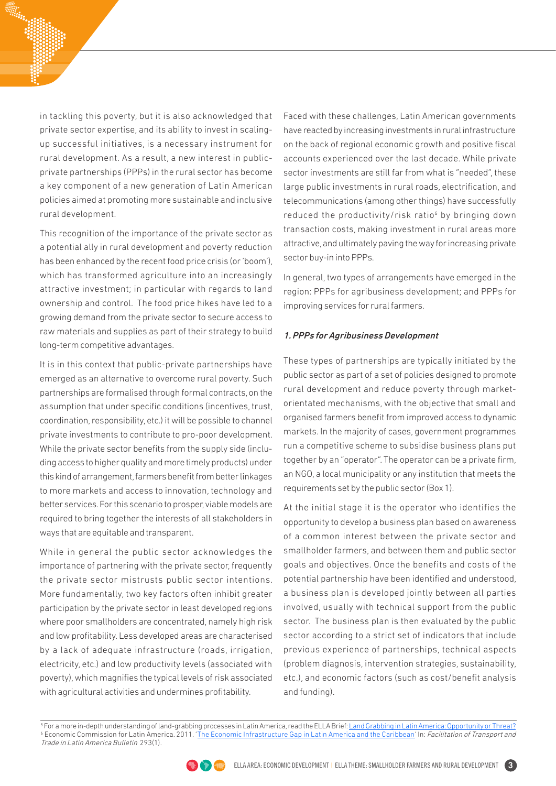in tackling this poverty, but it is also acknowledged that private sector expertise, and its ability to invest in scalingup successful initiatives, is a necessary instrument for rural development. As a result, a new interest in publicprivate partnerships (PPPs) in the rural sector has become a key component of a new generation of Latin American policies aimed at promoting more sustainable and inclusive rural development.

This recognition of the importance of the private sector as a potential ally in rural development and poverty reduction has been enhanced by the recent food price crisis (or 'boom'), which has transformed agriculture into an increasingly attractive investment; in particular with regards to land ownership and control. The food price hikes have led to a growing demand from the private sector to secure access to raw materials and supplies as part of their strategy to build long-term competitive advantages.

It is in this context that public-private partnerships have emerged as an alternative to overcome rural poverty. Such partnerships are formalised through formal contracts, on the assumption that under specific conditions (incentives, trust, coordination, responsibility, etc.) it will be possible to channel private investments to contribute to pro-poor development. While the private sector benefits from the supply side (including access to higher quality and more timely products) under this kind of arrangement, farmers benefit from better linkages to more markets and access to innovation, technology and better services. For this scenario to prosper, viable models are required to bring together the interests of all stakeholders in ways that are equitable and transparent.

While in general the public sector acknowledges the importance of partnering with the private sector, frequently the private sector mistrusts public sector intentions. More fundamentally, two key factors often inhibit greater participation by the private sector in least developed regions where poor smallholders are concentrated, namely high risk and low profitability. Less developed areas are characterised by a lack of adequate infrastructure (roads, irrigation, electricity, etc.) and low productivity levels (associated with poverty), which magnifies the typical levels of risk associated with agricultural activities and undermines profitability.

Faced with these challenges, Latin American governments have reacted by increasing investments in rural infrastructure on the back of regional economic growth and positive fiscal accounts experienced over the last decade. While private sector investments are still far from what is "needed", these large public investments in rural roads, electrification, and telecommunications (among other things) have successfully reduced the productivity/risk ratio<sup>6</sup> by bringing down transaction costs, making investment in rural areas more attractive, and ultimately paving the way for increasing private sector buy-in into PPPs.

In general, two types of arrangements have emerged in the region: PPPs for agribusiness development; and PPPs for improving services for rural farmers.

#### 1. PPPs for Agribusiness Development

These types of partnerships are typically initiated by the public sector as part of a set of policies designed to promote rural development and reduce poverty through marketorientated mechanisms, with the objective that small and organised farmers benefit from improved access to dynamic markets. In the majority of cases, government programmes run a competitive scheme to subsidise business plans put together by an "operator". The operator can be a private firm, an NGO, a local municipality or any institution that meets the requirements set by the public sector (Box 1).

At the initial stage it is the operator who identifies the opportunity to develop a business plan based on awareness of a common interest between the private sector and smallholder farmers, and between them and public sector goals and objectives. Once the benefits and costs of the potential partnership have been identified and understood, a business plan is developed jointly between all parties involved, usually with technical support from the public sector. The business plan is then evaluated by the public sector according to a strict set of indicators that include previous experience of partnerships, technical aspects (problem diagnosis, intervention strategies, sustainability, etc.), and economic factors (such as cost/benefit analysis and funding).

<sup>&</sup>lt;sup>5</sup> For a more in-depth understanding of land-grabbing processes in Latin America, read the ELLA Brief: <u>Land Grabbing in Latin America: Opportunity or Threat?</u> <sup>6</sup> Economic Commission for Latin America. 2011. <u>'[The Economic Infrastructure Gap in Latin America and the Caribbean](http://www.cepal.org/transporte/noticias/bolfall/6/42926/FAL-293-WEB-ENG-2.pdf)'</u> In: *Facilitation of Transport and* Trade in Latin America Bulletin 293(1).

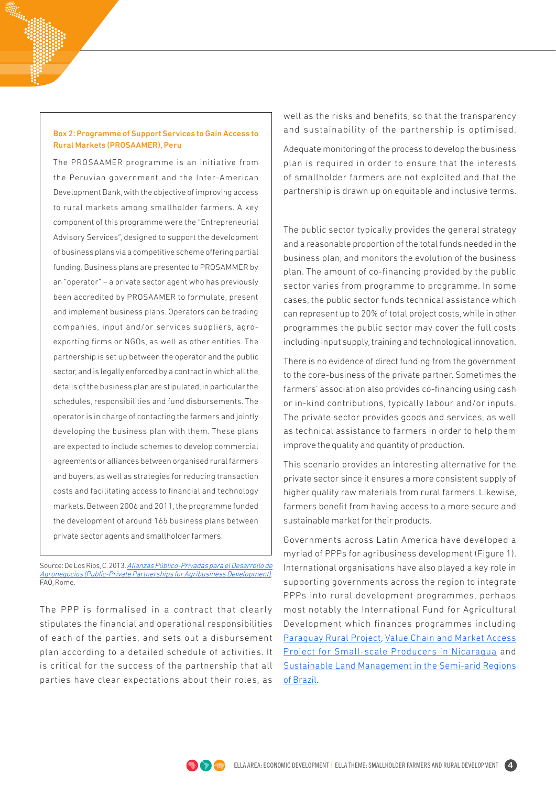#### Box 2: Programme of Support Services to Gain Access to Rural Markets (PROSAAMER), Peru

The PROSAAMER programme is an initiative from the Peruvian government and the Inter-American Development Bank, with the objective of improving access to rural markets among smallholder farmers. A key component of this programme were the "Entrepreneurial Advisory Services", designed to support the development of business plans via a competitive scheme offering partial funding. Business plans are presented to PROSAMMER by an "operator" – a private sector agent who has previously been accredited by PROSAAMER to formulate, present and implement business plans. Operators can be trading companies, input and/or services suppliers, agroexporting firms or NGOs, as well as other entities. The partnership is set up between the operator and the public sector, and is legally enforced by a contract in which all the details of the business plan are stipulated, in particular the schedules, responsibilities and fund disbursements. The operator is in charge of contacting the farmers and jointly developing the business plan with them. These plans are expected to include schemes to develop commercial agreements or alliances between organised rural farmers and buyers, as well as strategies for reducing transaction costs and facilitating access to financial and technology markets. Between 2006 and 2011, the programme funded the development of around 165 business plans between private sector agents and smallholder farmers.

Source: De Los Ríos, C. 2013. Alianzas Público-Privadas para el Desarrollo de Agronegocios [\(Public-Private Partnerships for Agribusiness Development\)](http://www.fao.org/docrep/018/aq440s/aq440s.pdf). FAO, Rome.

The PPP is formalised in a contract that clearly stipulates the financial and operational responsibilities of each of the parties, and sets out a disbursement plan according to a detailed schedule of activities. It is critical for the success of the partnership that all parties have clear expectations about their roles, as well as the risks and benefits, so that the transparency and sustainability of the partnership is optimised.

Adequate monitoring of the process to develop the business plan is required in order to ensure that the interests of smallholder farmers are not exploited and that the partnership is drawn up on equitable and inclusive terms.

The public sector typically provides the general strategy and a reasonable proportion of the total funds needed in the business plan, and monitors the evolution of the business plan. The amount of co-financing provided by the public sector varies from programme to programme. In some cases, the public sector funds technical assistance which can represent up to 20% of total project costs, while in other programmes the public sector may cover the full costs including input supply, training and technological innovation.

There is no evidence of direct funding from the government to the core-business of the private partner. Sometimes the farmers' association also provides co-financing using cash or in-kind contributions, typically labour and/or inputs. The private sector provides goods and services, as well as technical assistance to farmers in order to help them improve the quality and quantity of production.

This scenario provides an interesting alternative for the private sector since it ensures a more consistent supply of higher quality raw materials from rural farmers. Likewise, farmers benefit from having access to a more secure and sustainable market for their products.

Governments across Latin America have developed a myriad of PPPs for agribusiness development (Figure 1). International organisations have also played a key role in supporting governments across the region to integrate PPPs into rural development programmes, perhaps most notably the International Fund for Agricultural Development which finances programmes including [Paraguay Rural Project](http://www.mag.gov.py/index-dincap.php%3Fpag%3Dprogramas-dincap.html), [Value Chain and Market Access](http://www.economiafamiliar.gob.ni/index.php%3Foption%3Dcom_content%26view%3Darticle%26id%3D667%26Itemid%3D220)  [Project for Small-scale Producers in Nicaragua](http://www.economiafamiliar.gob.ni/index.php%3Foption%3Dcom_content%26view%3Darticle%26id%3D667%26Itemid%3D220) and [Sustainable Land Management in the Semi-arid Regions](http://www.ifad.org/operations/gef/pl/bra.htm)  [of Brazil.](http://www.ifad.org/operations/gef/pl/bra.htm)

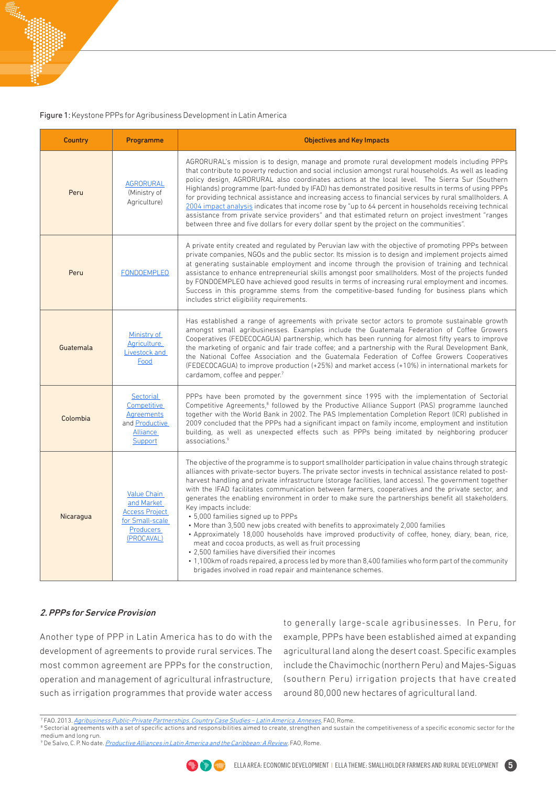#### Figure 1: Keystone PPPs for Agribusiness Development in Latin America

| <b>Country</b> | Programme                                                                                               | <b>Objectives and Key Impacts</b>                                                                                                                                                                                                                                                                                                                                                                                                                                                                                                                                                                                                                                                                                                                                                                                                                                                                                                                                                                                                                                                   |  |  |
|----------------|---------------------------------------------------------------------------------------------------------|-------------------------------------------------------------------------------------------------------------------------------------------------------------------------------------------------------------------------------------------------------------------------------------------------------------------------------------------------------------------------------------------------------------------------------------------------------------------------------------------------------------------------------------------------------------------------------------------------------------------------------------------------------------------------------------------------------------------------------------------------------------------------------------------------------------------------------------------------------------------------------------------------------------------------------------------------------------------------------------------------------------------------------------------------------------------------------------|--|--|
| Peru           | <b>AGRORURAL</b><br>(Ministry of<br>Agriculture)                                                        | AGRORURAL's mission is to design, manage and promote rural development models including PPPs<br>that contribute to poverty reduction and social inclusion amongst rural households. As well as leading<br>policy design, AGRORURAL also coordinates actions at the local level. The Sierra Sur (Southern<br>Highlands) programme (part-funded by IFAD) has demonstrated positive results in terms of using PPPs<br>for providing technical assistance and increasing access to financial services by rural smallholders. A<br>2004 impact analysis indicates that income rose by "up to 64 percent in households receiving technical<br>assistance from private service providers" and that estimated return on project investment "ranges<br>between three and five dollars for every dollar spent by the project on the communities".                                                                                                                                                                                                                                             |  |  |
| Peru           | <b>FONDOEMPLEO</b>                                                                                      | A private entity created and regulated by Peruvian law with the objective of promoting PPPs between<br>private companies, NGOs and the public sector. Its mission is to design and implement projects aimed<br>at generating sustainable employment and income through the provision of training and technical<br>assistance to enhance entrepreneurial skills amongst poor smallholders. Most of the projects funded<br>by FONDOEMPLEO have achieved good results in terms of increasing rural employment and incomes.<br>Success in this programme stems from the competitive-based funding for business plans which<br>includes strict eligibility requirements.                                                                                                                                                                                                                                                                                                                                                                                                                 |  |  |
| Guatemala      | Ministry of<br>Agriculture,<br>Livestock and<br>Food                                                    | Has established a range of agreements with private sector actors to promote sustainable growth<br>amongst small agribusinesses. Examples include the Guatemala Federation of Coffee Growers<br>Cooperatives (FEDECOCAGUA) partnership, which has been running for almost fifty years to improve<br>the marketing of organic and fair trade coffee; and a partnership with the Rural Development Bank,<br>the National Coffee Association and the Guatemala Federation of Coffee Growers Cooperatives<br>(FEDECOCAGUA) to improve production (+25%) and market access (+10%) in international markets for<br>cardamom, coffee and pepper. <sup>7</sup>                                                                                                                                                                                                                                                                                                                                                                                                                               |  |  |
| Colombia       | Sectorial<br>Competitive<br><b>Agreements</b><br>and Productive<br>Alliance<br>Support                  | PPPs have been promoted by the government since 1995 with the implementation of Sectorial<br>Competitive Agreements, <sup>8</sup> followed by the Productive Alliance Support (PAS) programme launched<br>together with the World Bank in 2002. The PAS Implementation Completion Report (ICR) published in<br>2009 concluded that the PPPs had a significant impact on family income, employment and institution<br>building, as well as unexpected effects such as PPPs being imitated by neighboring producer<br>associations.9                                                                                                                                                                                                                                                                                                                                                                                                                                                                                                                                                  |  |  |
| Nicaragua      | Value Chain<br>and Market<br><b>Access Project</b><br>for Small-scale<br><b>Producers</b><br>(PROCAVAL) | The objective of the programme is to support smallholder participation in value chains through strategic<br>alliances with private-sector buyers. The private sector invests in technical assistance related to post-<br>harvest handling and private infrastructure (storage facilities, land access). The government together<br>with the IFAD facilitates communication between farmers, cooperatives and the private sector, and<br>generates the enabling environment in order to make sure the partnerships benefit all stakeholders.<br>Key impacts include:<br>• 5,000 families signed up to PPPs<br>• More than 3,500 new jobs created with benefits to approximately 2,000 families<br>• Approximately 18,000 households have improved productivity of coffee, honey, diary, bean, rice,<br>meat and cocoa products, as well as fruit processing<br>• 2,500 families have diversified their incomes<br>• 1,100km of roads repaired, a process led by more than 8,400 families who form part of the community<br>brigades involved in road repair and maintenance schemes. |  |  |

#### 2. PPPs for Service Provision

Another type of PPP in Latin America has to do with the development of agreements to provide rural services. The most common agreement are PPPs for the construction, operation and management of agricultural infrastructure, such as irrigation programmes that provide water access

to generally large-scale agribusinesses. In Peru, for example, PPPs have been established aimed at expanding agricultural land along the desert coast. Specific examples include the Chavimochic (northern Peru) and Majes-Siguas (southern Peru) irrigation projects that have created around 80,000 new hectares of agricultural land.

<sup>9</sup> De Salvo, C. P. No date. *[Productive Alliances in Latin America and the Caribbean: A Review](http://www.fao.org/fileadmin/user_upload/AGRO_Noticias/docs/Productive%20Alliances%20in%20Latin%20America%20-%20Carmine%20Paolo%20de%20Salvo.pdf)*. FAO, Rome.



<sup>&</sup>lt;sup>7</sup> FAO. 2013. [Agribusiness Public-Private Partnerships. Country Case Studies – Latin America. Annexes](http://www.fao.org/docrep/field/009/ar859e/ar859e00.htm). FAO, Rome.

 $^{\text{8}}$  Sectorial agreements with a set of specific actions and responsibilities aimed to create, strengthen and sustain the competitiveness of a specific economic sector for the medium and long run.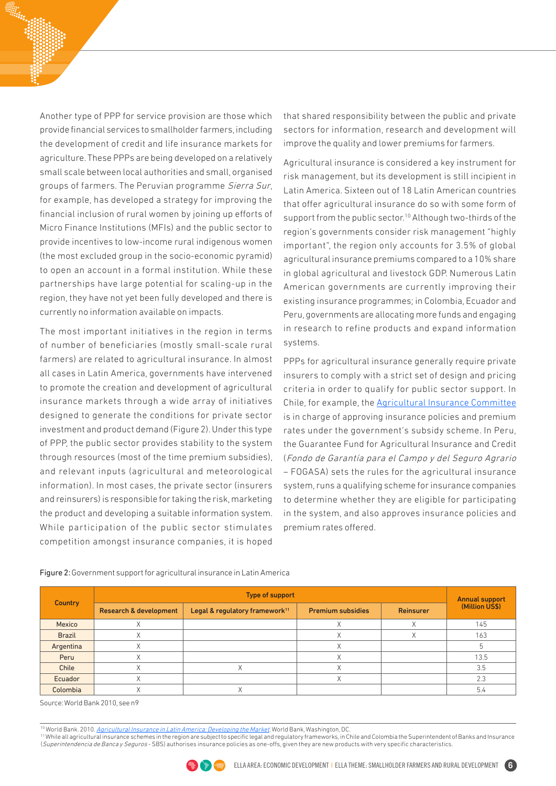Another type of PPP for service provision are those which provide financial services to smallholder farmers, including the development of credit and life insurance markets for agriculture. These PPPs are being developed on a relatively small scale between local authorities and small, organised groups of farmers. The Peruvian programme Sierra Sur, for example, has developed a strategy for improving the financial inclusion of rural women by joining up efforts of Micro Finance Institutions (MFIs) and the public sector to provide incentives to low-income rural indigenous women (the most excluded group in the socio-economic pyramid) to open an account in a formal institution. While these partnerships have large potential for scaling-up in the region, they have not yet been fully developed and there is currently no information available on impacts.

The most important initiatives in the region in terms of number of beneficiaries (mostly small-scale rural farmers) are related to agricultural insurance. In almost all cases in Latin America, governments have intervened to promote the creation and development of agricultural insurance markets through a wide array of initiatives designed to generate the conditions for private sector investment and product demand (Figure 2). Under this type of PPP, the public sector provides stability to the system through resources (most of the time premium subsidies), and relevant inputs (agricultural and meteorological information). In most cases, the private sector (insurers and reinsurers) is responsible for taking the risk, marketing the product and developing a suitable information system. While participation of the public sector stimulates competition amongst insurance companies, it is hoped

that shared responsibility between the public and private sectors for information, research and development will improve the quality and lower premiums for farmers.

Agricultural insurance is considered a key instrument for risk management, but its development is still incipient in Latin America. Sixteen out of 18 Latin American countries that offer agricultural insurance do so with some form of support from the public sector.<sup>10</sup> Although two-thirds of the region's governments consider risk management "highly important", the region only accounts for 3.5% of global agricultural insurance premiums compared to a 10% share in global agricultural and livestock GDP. Numerous Latin American governments are currently improving their existing insurance programmes; in Colombia, Ecuador and Peru, governments are allocating more funds and engaging in research to refine products and expand information systems.

PPPs for agricultural insurance generally require private insurers to comply with a strict set of design and pricing criteria in order to qualify for public sector support. In Chile, for example, the [Agricultural Insurance Committee](http://www.comsa.gob.cl/)  is in charge of approving insurance policies and premium rates under the government's subsidy scheme. In Peru, the Guarantee Fund for Agricultural Insurance and Credit (Fondo de Garantía para el Campo y del Seguro Agrario – FOGASA) sets the rules for the agricultural insurance system, runs a qualifying scheme for insurance companies to determine whether they are eligible for participating in the system, and also approves insurance policies and premium rates offered.

| <b>Country</b> |                                   | <b>Annual support</b>                      |                          |                  |                |
|----------------|-----------------------------------|--------------------------------------------|--------------------------|------------------|----------------|
|                | <b>Research &amp; development</b> | Legal & regulatory framework <sup>11</sup> | <b>Premium subsidies</b> | <b>Reinsurer</b> | (Million US\$) |
| Mexico         |                                   |                                            |                          |                  | 145            |
| <b>Brazil</b>  |                                   |                                            |                          |                  | 163            |
| Argentina      |                                   |                                            |                          |                  |                |
| Peru           |                                   |                                            |                          |                  | 13.5           |
| Chile          |                                   |                                            |                          |                  | 3.5            |
| Ecuador        |                                   |                                            |                          |                  | 2.3            |
| Colombia       |                                   |                                            |                          |                  | 5.4            |

Figure 2: Government support for agricultural insurance in Latin America

Source: World Bank 2010, see n9

<sup>10</sup> World Bank. 2010. [Agricultural Insurance in Latin America: Developing the Market](http://www.fao.org/fileadmin/user_upload/AGRO_Noticias/docs/619630ESW0WHIT0nce0in0LAC0web0FINAL.pdf). World Bank, Washington, DC.

11 While all agricultural insurance schemes in the region are subject to specific legal and regulatory frameworks, in Chile and Colombia the Superintendent of Banks and Insurance (Superintendencia de Banca y Seguros - SBS) authorises insurance policies as one-offs, given they are new products with very specific characteristics

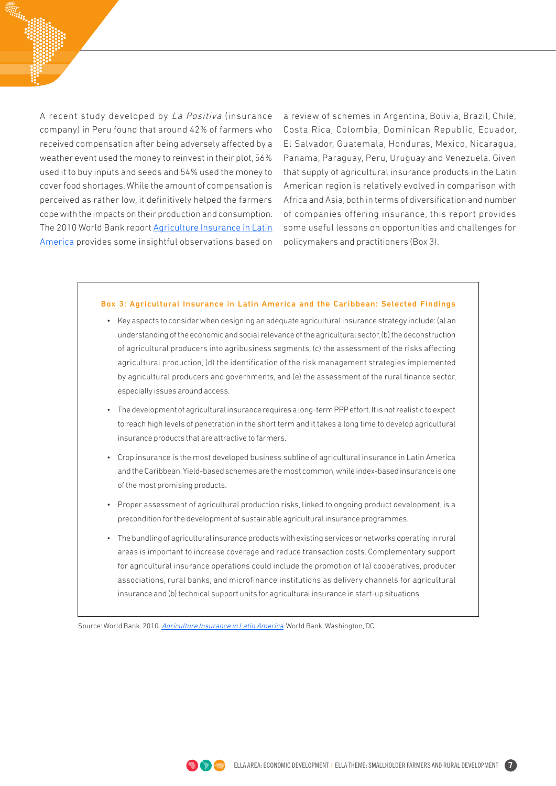A recent study developed by La Positiva (insurance company) in Peru found that around 42% of farmers who received compensation after being adversely affected by a weather event used the money to reinvest in their plot, 56% used it to buy inputs and seeds and 54% used the money to cover food shortages. While the amount of compensation is perceived as rather low, it definitively helped the farmers cope with the impacts on their production and consumption. The 2010 World Bank report [Agriculture Insurance in Latin](http://www.fao.org/fileadmin/user_upload/AGRO_Noticias/docs/619630ESW0WHIT0nce0in0LAC0web0FINAL.pdf)  [America](http://www.fao.org/fileadmin/user_upload/AGRO_Noticias/docs/619630ESW0WHIT0nce0in0LAC0web0FINAL.pdf) provides some insightful observations based on

a review of schemes in Argentina, Bolivia, Brazil, Chile, Costa Rica, Colombia, Dominican Republic, Ecuador, El Salvador, Guatemala, Honduras, Mexico, Nicaragua, Panama, Paraguay, Peru, Uruguay and Venezuela. Given that supply of agricultural insurance products in the Latin American region is relatively evolved in comparison with Africa and Asia, both in terms of diversification and number of companies offering insurance, this report provides some useful lessons on opportunities and challenges for policymakers and practitioners (Box 3).

#### Box 3: Agricultural Insurance in Latin America and the Caribbean: Selected Findings

- • Key aspects to consider when designing an adequate agricultural insurance strategy include: (a) an understanding of the economic and social relevance of the agricultural sector, (b) the deconstruction of agricultural producers into agribusiness segments, (c) the assessment of the risks affecting agricultural production, (d) the identification of the risk management strategies implemented by agricultural producers and governments, and (e) the assessment of the rural finance sector, especially issues around access.
- • The development of agricultural insurance requires a long-term PPP effort. It is not realistic to expect to reach high levels of penetration in the short term and it takes a long time to develop agricultural insurance products that are attractive to farmers.
- • Crop insurance is the most developed business subline of agricultural insurance in Latin America and the Caribbean. Yield-based schemes are the most common, while index-based insurance is one of the most promising products.
- • Proper assessment of agricultural production risks, linked to ongoing product development, is a precondition for the development of sustainable agricultural insurance programmes.
- • The bundling of agricultural insurance products with existing services or networks operating in rural areas is important to increase coverage and reduce transaction costs. Complementary support for agricultural insurance operations could include the promotion of (a) cooperatives, producer associations, rural banks, and microfinance institutions as delivery channels for agricultural insurance and (b) technical support units for agricultural insurance in start-up situations.

Source: World Bank. 2010. **[Agriculture Insurance in Latin America](http://www.fao.org/fileadmin/user_upload/AGRO_Noticias/docs/619630ESW0WHIT0nce0in0LAC0web0FINAL.pdf)**. World Bank, Washington, DC.

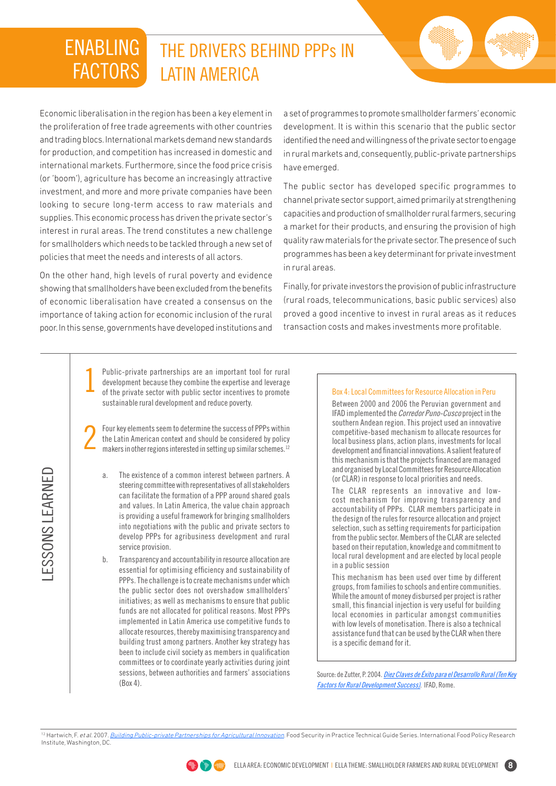#### THE DRIVERS BEHIND PPPs IN LATIN AMERICA ENABLING FACTORS

Economic liberalisation in the region has been a key element in the proliferation of free trade agreements with other countries and trading blocs. International markets demand new standards for production, and competition has increased in domestic and international markets. Furthermore, since the food price crisis (or 'boom'), agriculture has become an increasingly attractive investment, and more and more private companies have been looking to secure long-term access to raw materials and supplies. This economic process has driven the private sector's interest in rural areas. The trend constitutes a new challenge for smallholders which needs to be tackled through a new set of policies that meet the needs and interests of all actors.

On the other hand, high levels of rural poverty and evidence showing that smallholders have been excluded from the benefits of economic liberalisation have created a consensus on the importance of taking action for economic inclusion of the rural poor. In this sense, governments have developed institutions and

a set of programmes to promote smallholder farmers' economic development. It is within this scenario that the public sector identified the need and willingness of the private sector to engage in rural markets and, consequently, public-private partnerships have emerged.

The public sector has developed specific programmes to channel private sector support, aimed primarily at strengthening capacities and production of smallholder rural farmers, securing a market for their products, and ensuring the provision of high quality raw materials for the private sector. The presence of such programmes has been a key determinant for private investment in rural areas.

Finally, for private investors the provision of public infrastructure (rural roads, telecommunications, basic public services) also proved a good incentive to invest in rural areas as it reduces transaction costs and makes investments more profitable.

Public-private partnerships are an important tool for rural development because they combine the expertise and leverage of the private sector with public sector incentives to promote sustainable rural development and reduce poverty. 1

Four key elements seem to determine the success of PPPs within the Latin American context and should be considered by policy makers in other regions interested in setting up similar schemes.<sup>12</sup> 2

- a. The existence of a common interest between partners. A steering committee with representatives of all stakeholders can facilitate the formation of a PPP around shared goals and values. In Latin America, the value chain approach is providing a useful framework for bringing smallholders into negotiations with the public and private sectors to develop PPPs for agribusiness development and rural service provision.
- b. Transparency and accountability in resource allocation are essential for optimising efficiency and sustainability of PPPs. The challenge is to create mechanisms under which the public sector does not overshadow smallholders' initiatives; as well as mechanisms to ensure that public funds are not allocated for political reasons. Most PPPs implemented in Latin America use competitive funds to allocate resources, thereby maximising transparency and building trust among partners. Another key strategy has been to include civil society as members in qualification committees or to coordinate yearly activities during joint sessions, between authorities and farmers' associations (Box 4).

#### Box 4: Local Committees for Resource Allocation in Peru

Between 2000 and 2006 the Peruvian government and IFAD implemented the Corredor Puno-Cusco project in the southern Andean region. This project used an innovative competitive-based mechanism to allocate resources for local business plans, action plans, investments for local development and financial innovations. A salient feature of this mechanism is that the projects financed are managed and organised by Local Committees for Resource Allocation (or CLAR) in response to local priorities and needs.

The CLAR represents an innovative and lowcost mechanism for improving transparency and accountability of PPPs. CLAR members participate in the design of the rules for resource allocation and project selection, such as setting requirements for participation from the public sector. Members of the CLAR are selected based on their reputation, knowledge and commitment to local rural development and are elected by local people in a public session

This mechanism has been used over time by different groups, from families to schools and entire communities. While the amount of money disbursed per project is rather small, this financial injection is very useful for building local economies in particular amongst communities with low levels of monetisation. There is also a technical assistance fund that can be used by the CLAR when there is a specific demand for it.

Source: de Zutter, P. 2004. *Diez Claves de Éxito para el Desarrollo Rural (Ten Key* [Factors for Rural Development Success\)](http://preval.org/documentos/0a601.pdf). IFAD, Rome.

<sup>12</sup> Hartwich, F. et al. 2007. [Building Public-private Partnerships for Agricultural Innovation](http://www.ifpri.org/sites/default/files/publications/sp4.pdf). Food Security in Practice Technical Guide Series. International Food Policy Research Institute, Washington, DC.